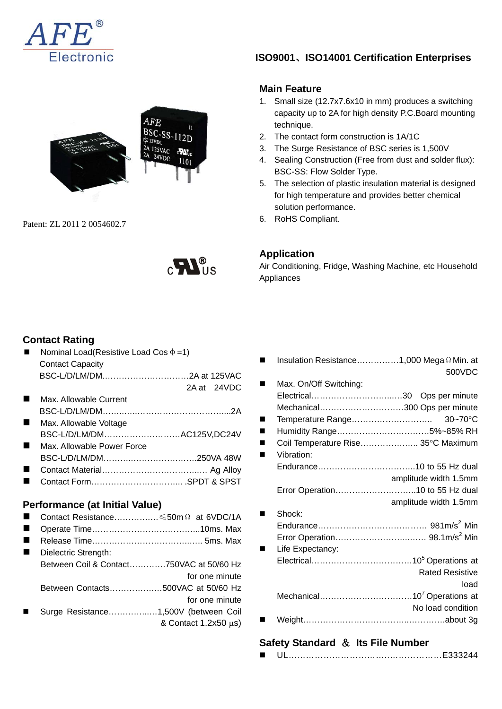



Patent: ZL 2011 2 0054602.7



### **Contact Rating**

|   | Nominal Load(Resistive Load Cos $\Phi = 1$ ) |  |  |  |
|---|----------------------------------------------|--|--|--|
|   | <b>Contact Capacity</b>                      |  |  |  |
|   |                                              |  |  |  |
|   | 2A at 24VDC                                  |  |  |  |
|   | Max. Allowable Current                       |  |  |  |
|   |                                              |  |  |  |
| ٠ | Max. Allowable Voltage                       |  |  |  |
|   | BSC-L/D/LM/DMAC125V,DC24V                    |  |  |  |
|   | Max, Allowable Power Force                   |  |  |  |
|   |                                              |  |  |  |
|   |                                              |  |  |  |
|   |                                              |  |  |  |
|   |                                              |  |  |  |
|   | Performance (at Initial Value)               |  |  |  |
|   | Contact Resistance ≤50m Ω at 6VDC/1A         |  |  |  |
| ٠ |                                              |  |  |  |
|   |                                              |  |  |  |
|   | Dielectric Strength:                         |  |  |  |
|   | Between Coil & Contact750VAC at 50/60 Hz     |  |  |  |
|   | for one minute                               |  |  |  |
|   | Between Contacts500VAC at 50/60 Hz           |  |  |  |
|   | for one minute                               |  |  |  |
|   | Surge Resistance1,500V (between Coil         |  |  |  |
|   | & Contact $1.2x50 \mu s$ )                   |  |  |  |

 **ISO9001**、**ISO14001 Certification Enterprises** 

### **Main Feature**

- 1. Small size (12.7x7.6x10 in mm) produces a switching capacity up to 2A for high density P.C.Board mounting technique.
- 2. The contact form construction is 1A/1C
- 3. The Surge Resistance of BSC series is 1,500V
- 4. Sealing Construction (Free from dust and solder flux): BSC-SS: Flow Solder Type.
- 5. The selection of plastic insulation material is designed for high temperature and provides better chemical solution performance.
- 6. RoHS Compliant.

#### **Application**

Air Conditioning, Fridge, Washing Machine, etc Household Appliances

| Insulation Resistance1,000 Mega Ω Min. at |                        |
|-------------------------------------------|------------------------|
|                                           | 500VDC                 |
|                                           |                        |
| Max. On/Off Switching:                    |                        |
|                                           |                        |
| Mechanical300 Ops per minute              |                        |
|                                           |                        |
| Humidity Range5%~85% RH                   |                        |
| Coil Temperature Rise 35°C Maximum        |                        |
| Vibration:                                |                        |
|                                           |                        |
|                                           | amplitude width 1.5mm  |
|                                           |                        |
| Error Operation10 to 55 Hz dual           |                        |
|                                           | amplitude width 1.5mm  |
| Shock:                                    |                        |
|                                           |                        |
|                                           |                        |
|                                           |                        |
| Life Expectancy:                          |                        |
|                                           |                        |
|                                           | <b>Rated Resistive</b> |
|                                           | load                   |
|                                           |                        |
|                                           |                        |
|                                           | No load condition      |
|                                           |                        |

### **Safety Standard** & **Its File Number**

|  |  | $\Gamma$ 22244 |
|--|--|----------------|
|--|--|----------------|